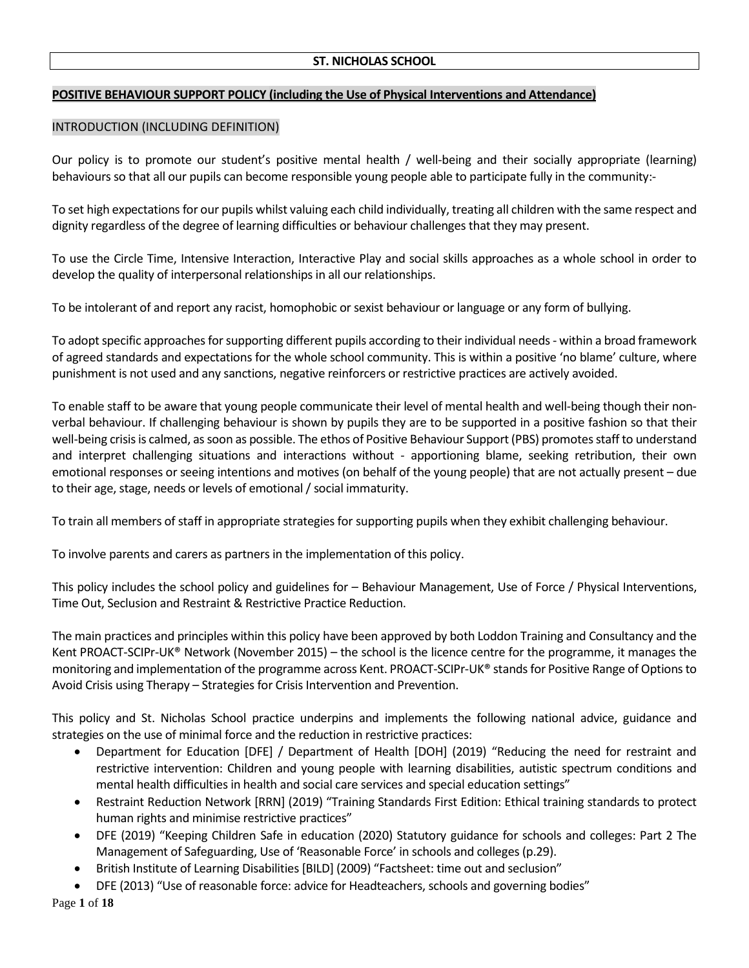# **POSITIVE BEHAVIOUR SUPPORT POLICY (including the Use of Physical Interventions and Attendance)**

### INTRODUCTION (INCLUDING DEFINITION)

Our policy is to promote our student's positive mental health / well-being and their socially appropriate (learning) behaviours so that all our pupils can become responsible young people able to participate fully in the community:-

To set high expectationsfor our pupils whilst valuing each child individually, treating all children with the same respect and dignity regardless of the degree of learning difficulties or behaviour challenges that they may present.

To use the Circle Time, Intensive Interaction, Interactive Play and social skills approaches as a whole school in order to develop the quality of interpersonal relationships in all our relationships.

To be intolerant of and report any racist, homophobic or sexist behaviour or language or any form of bullying.

To adopt specific approaches for supporting different pupils according to their individual needs - within a broad framework of agreed standards and expectations for the whole school community. This is within a positive 'no blame' culture, where punishment is not used and any sanctions, negative reinforcers or restrictive practices are actively avoided.

To enable staff to be aware that young people communicate their level of mental health and well-being though their nonverbal behaviour. If challenging behaviour is shown by pupils they are to be supported in a positive fashion so that their well-being crisis is calmed, as soon as possible. The ethos of Positive Behaviour Support (PBS) promotes staff to understand and interpret challenging situations and interactions without - apportioning blame, seeking retribution, their own emotional responses or seeing intentions and motives (on behalf of the young people) that are not actually present – due to their age, stage, needs or levels of emotional/ social immaturity.

To train all members of staff in appropriate strategies for supporting pupils when they exhibit challenging behaviour.

To involve parents and carers as partners in the implementation of this policy.

This policy includes the school policy and guidelines for – Behaviour Management, Use of Force / Physical Interventions, Time Out, Seclusion and Restraint & Restrictive Practice Reduction.

The main practices and principles within this policy have been approved by both Loddon Training and Consultancy and the Kent PROACT-SCIPr-UK® Network (November 2015) – the school is the licence centre for the programme, it manages the monitoring and implementation of the programme across Kent. PROACT-SCIPr-UK® stands for Positive Range of Options to Avoid Crisis using Therapy – Strategies for Crisis Intervention and Prevention.

This policy and St. Nicholas School practice underpins and implements the following national advice, guidance and strategies on the use of minimal force and the reduction in restrictive practices:

- Department for Education [DFE] / Department of Health [DOH] (2019) "Reducing the need for restraint and restrictive intervention: Children and young people with learning disabilities, autistic spectrum conditions and mental health difficulties in health and social care services and special education settings"
- Restraint Reduction Network [RRN] (2019) "Training Standards First Edition: Ethical training standards to protect human rights and minimise restrictive practices"
- DFE (2019) "Keeping Children Safe in education (2020) Statutory guidance for schools and colleges: Part 2 The Management of Safeguarding, Use of 'Reasonable Force' in schools and colleges (p.29).
- British Institute of Learning Disabilities [BILD] (2009) "Factsheet: time out and seclusion"
- DFE (2013) "Use of reasonable force: advice for Headteachers, schools and governing bodies"

Page **1** of **18**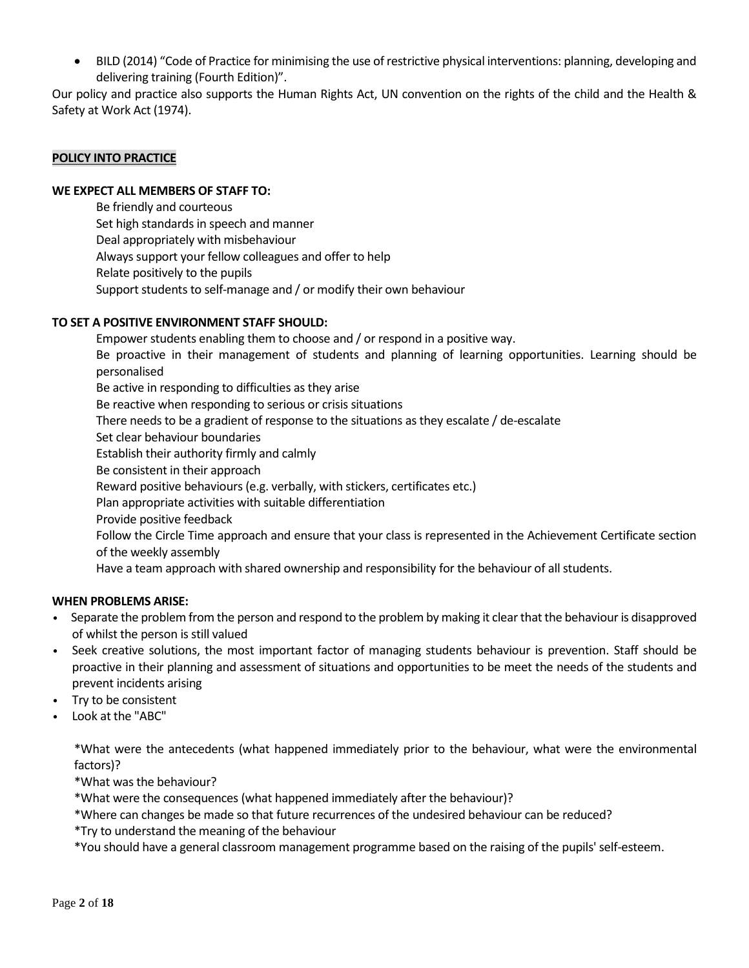BILD (2014) "Code of Practice for minimising the use of restrictive physical interventions: planning, developing and delivering training (Fourth Edition)".

Our policy and practice also supports the Human Rights Act, UN convention on the rights of the child and the Health & Safety at Work Act (1974).

### **POLICY INTO PRACTICE**

### **WE EXPECT ALL MEMBERS OF STAFF TO:**

Be friendly and courteous Set high standards in speech and manner Deal appropriately with misbehaviour Always support your fellow colleagues and offer to help Relate positively to the pupils Support students to self-manage and / or modify their own behaviour

### **TO SET A POSITIVE ENVIRONMENT STAFF SHOULD:**

Empower students enabling them to choose and / or respond in a positive way. Be proactive in their management of students and planning of learning opportunities. Learning should be personalised Be active in responding to difficulties as they arise Be reactive when responding to serious or crisis situations There needs to be a gradient of response to the situations as they escalate / de-escalate Set clear behaviour boundaries Establish their authority firmly and calmly Be consistent in their approach Reward positive behaviours(e.g. verbally, with stickers, certificates etc.) Plan appropriate activities with suitable differentiation Provide positive feedback Follow the Circle Time approach and ensure that your class is represented in the Achievement Certificate section of the weekly assembly Have a team approach with shared ownership and responsibility for the behaviour of all students.

## **WHEN PROBLEMS ARISE:**

- Separate the problem from the person and respond to the problem by making it clear that the behaviour is disapproved of whilst the person is still valued
- Seek creative solutions, the most important factor of managing students behaviour is prevention. Staff should be proactive in their planning and assessment of situations and opportunities to be meet the needs of the students and prevent incidents arising
- Try to be consistent
- Look at the "ABC"

\*What were the antecedents (what happened immediately prior to the behaviour, what were the environmental factors)?

\*What was the behaviour?

\*What were the consequences (what happened immediately after the behaviour)?

\*Where can changes be made so that future recurrences of the undesired behaviour can be reduced?

\*Try to understand the meaning of the behaviour

\*You should have a general classroom management programme based on the raising of the pupils' self-esteem.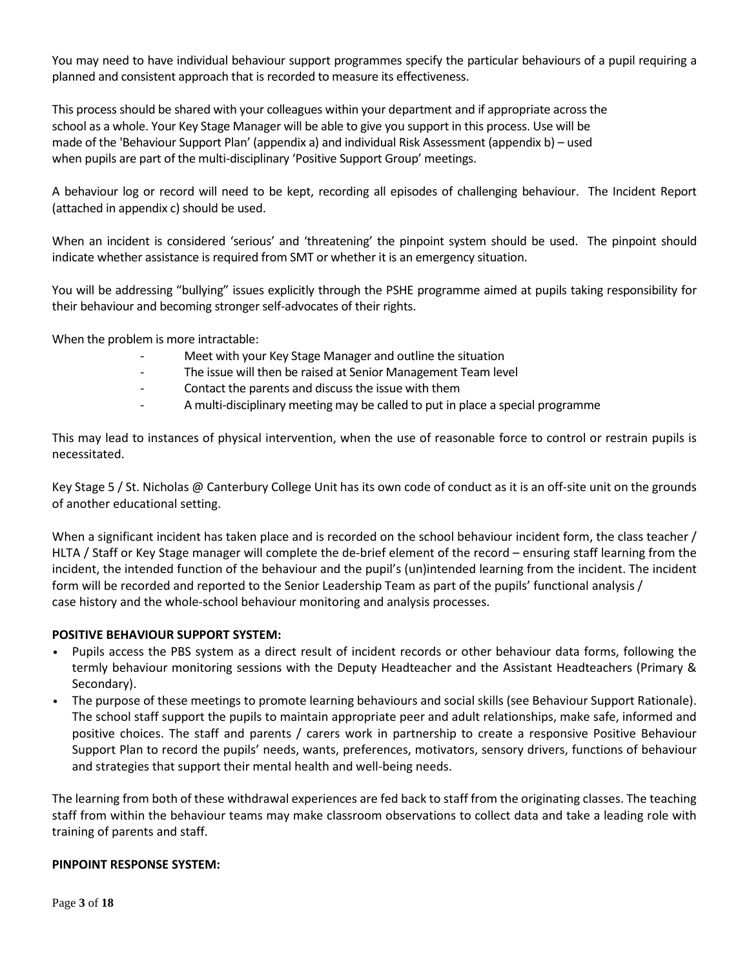You may need to have individual behaviour support programmes specify the particular behaviours of a pupil requiring a planned and consistent approach that is recorded to measure its effectiveness.

This process should be shared with your colleagues within your department and if appropriate across the school as a whole. Your Key Stage Manager will be able to give you support in this process. Use will be made of the 'Behaviour Support Plan' (appendix a) and individual Risk Assessment (appendix b) – used when pupils are part of the multi-disciplinary 'Positive Support Group' meetings.

A behaviour log or record will need to be kept, recording all episodes of challenging behaviour. The Incident Report (attached in appendix c) should be used.

When an incident is considered 'serious' and 'threatening' the pinpoint system should be used. The pinpoint should indicate whether assistance is required from SMT or whether it is an emergency situation.

You will be addressing "bullying" issues explicitly through the PSHE programme aimed at pupils taking responsibility for their behaviour and becoming stronger self-advocates of their rights.

When the problem is more intractable:

- Meet with your Key Stage Manager and outline the situation
- The issue will then be raised at Senior Management Team level
- Contact the parents and discuss the issue with them
- A multi-disciplinary meeting may be called to put in place a special programme

This may lead to instances of physical intervention, when the use of reasonable force to control or restrain pupils is necessitated.

Key Stage 5 / St. Nicholas @ Canterbury College Unit has its own code of conduct as it is an off-site unit on the grounds of another educational setting.

When a significant incident has taken place and is recorded on the school behaviour incident form, the class teacher / HLTA / Staff or Key Stage manager will complete the de-brief element of the record – ensuring staff learning from the incident, the intended function of the behaviour and the pupil's (un)intended learning from the incident. The incident form will be recorded and reported to the Senior Leadership Team as part of the pupils' functional analysis / case history and the whole-school behaviour monitoring and analysis processes.

## **POSITIVE BEHAVIOUR SUPPORT SYSTEM:**

- Pupils access the PBS system as a direct result of incident records or other behaviour data forms, following the termly behaviour monitoring sessions with the Deputy Headteacher and the Assistant Headteachers (Primary & Secondary).
- The purpose of these meetings to promote learning behaviours and social skills (see Behaviour Support Rationale). The school staff support the pupils to maintain appropriate peer and adult relationships, make safe, informed and positive choices. The staff and parents / carers work in partnership to create a responsive Positive Behaviour Support Plan to record the pupils' needs, wants, preferences, motivators, sensory drivers, functions of behaviour and strategies that support their mental health and well-being needs.

The learning from both of these withdrawal experiences are fed back to staff from the originating classes. The teaching staff from within the behaviour teams may make classroom observations to collect data and take a leading role with training of parents and staff.

### **PINPOINT RESPONSE SYSTEM:**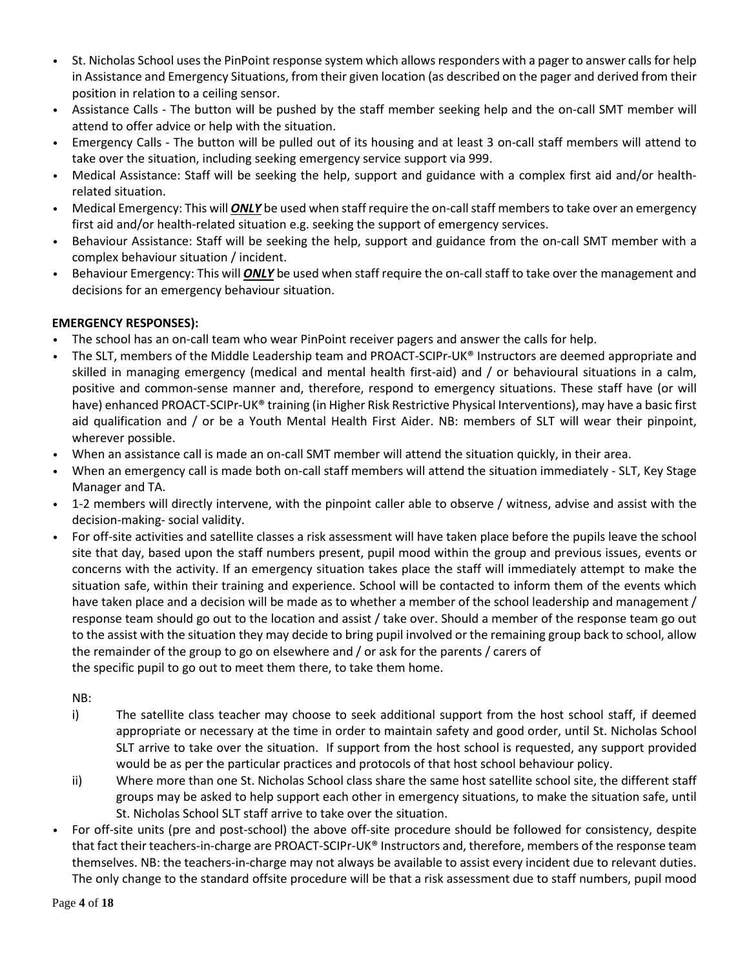- St. Nicholas School uses the PinPoint response system which allows responders with a pager to answer calls for help in Assistance and Emergency Situations, from their given location (as described on the pager and derived from their position in relation to a ceiling sensor.
- Assistance Calls The button will be pushed by the staff member seeking help and the on-call SMT member will attend to offer advice or help with the situation.
- Emergency Calls The button will be pulled out of its housing and at least 3 on-call staff members will attend to take over the situation, including seeking emergency service support via 999.
- Medical Assistance: Staff will be seeking the help, support and guidance with a complex first aid and/or healthrelated situation.
- Medical Emergency: This will **ONLY** be used when staff require the on-call staff members to take over an emergency first aid and/or health-related situation e.g. seeking the support of emergency services.
- Behaviour Assistance: Staff will be seeking the help, support and guidance from the on-call SMT member with a complex behaviour situation / incident.
- Behaviour Emergency: This will *ONLY* be used when staff require the on-call staff to take over the management and decisions for an emergency behaviour situation.

# **EMERGENCY RESPONSES):**

- The school has an on-call team who wear PinPoint receiver pagers and answer the calls for help.
- The SLT, members of the Middle Leadership team and PROACT-SCIPr-UK® Instructors are deemed appropriate and skilled in managing emergency (medical and mental health first-aid) and / or behavioural situations in a calm, positive and common-sense manner and, therefore, respond to emergency situations. These staff have (or will have) enhanced PROACT-SCIPr-UK® training (in Higher Risk Restrictive Physical Interventions), may have a basic first aid qualification and / or be a Youth Mental Health First Aider. NB: members of SLT will wear their pinpoint, wherever possible.
- When an assistance call is made an on-call SMT member will attend the situation quickly, in their area.
- When an emergency call is made both on-call staff members will attend the situation immediately SLT, Key Stage Manager and TA.
- 1-2 members will directly intervene, with the pinpoint caller able to observe / witness, advise and assist with the decision-making- social validity.
- For off-site activities and satellite classes a risk assessment will have taken place before the pupils leave the school site that day, based upon the staff numbers present, pupil mood within the group and previous issues, events or concerns with the activity. If an emergency situation takes place the staff will immediately attempt to make the situation safe, within their training and experience. School will be contacted to inform them of the events which have taken place and a decision will be made as to whether a member of the school leadership and management / response team should go out to the location and assist / take over. Should a member of the response team go out to the assist with the situation they may decide to bring pupil involved or the remaining group back to school, allow the remainder of the group to go on elsewhere and / or ask for the parents / carers of the specific pupil to go out to meet them there, to take them home.

NB:

- i) The satellite class teacher may choose to seek additional support from the host school staff, if deemed appropriate or necessary at the time in order to maintain safety and good order, until St. Nicholas School SLT arrive to take over the situation. If support from the host school is requested, any support provided would be as per the particular practices and protocols of that host school behaviour policy.
- ii) Where more than one St. Nicholas School class share the same host satellite school site, the different staff groups may be asked to help support each other in emergency situations, to make the situation safe, until St. Nicholas School SLT staff arrive to take over the situation.
- For off-site units (pre and post-school) the above off-site procedure should be followed for consistency, despite that fact their teachers-in-charge are PROACT-SCIPr-UK® Instructors and, therefore, members of the response team themselves. NB: the teachers-in-charge may not always be available to assist every incident due to relevant duties. The only change to the standard offsite procedure will be that a risk assessment due to staff numbers, pupil mood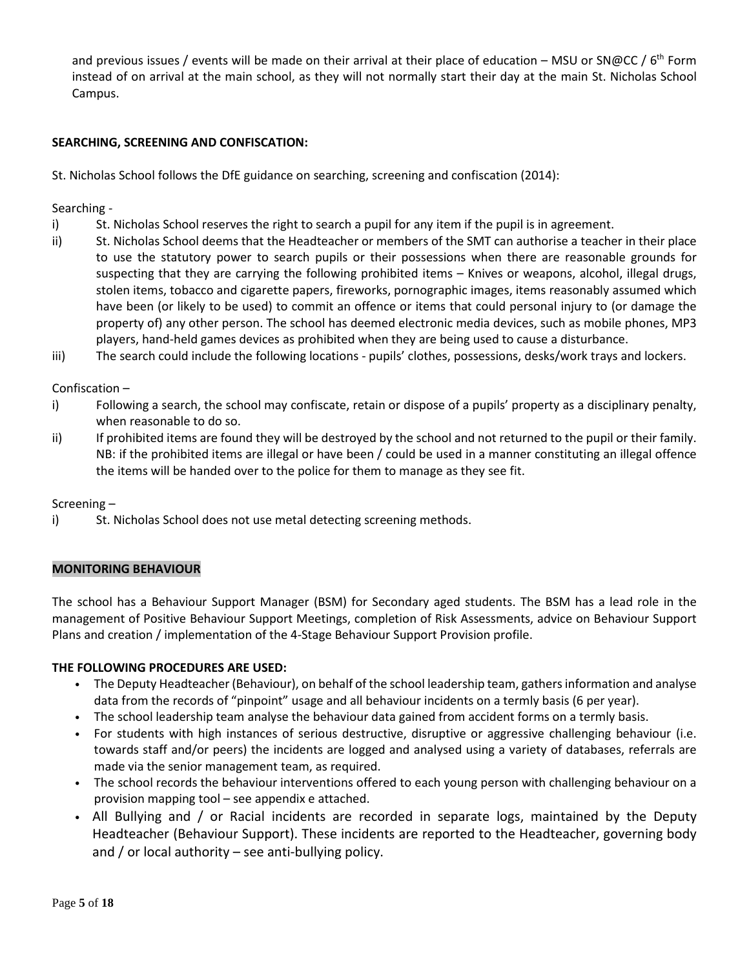and previous issues / events will be made on their arrival at their place of education – MSU or SN@CC / 6<sup>th</sup> Form instead of on arrival at the main school, as they will not normally start their day at the main St. Nicholas School Campus.

# **SEARCHING, SCREENING AND CONFISCATION:**

St. Nicholas School follows the DfE guidance on searching, screening and confiscation (2014):

Searching -

- i) St. Nicholas School reserves the right to search a pupil for any item if the pupil is in agreement.
- ii) St. Nicholas School deems that the Headteacher or members of the SMT can authorise a teacher in their place to use the statutory power to search pupils or their possessions when there are reasonable grounds for suspecting that they are carrying the following prohibited items – Knives or weapons, alcohol, illegal drugs, stolen items, tobacco and cigarette papers, fireworks, pornographic images, items reasonably assumed which have been (or likely to be used) to commit an offence or items that could personal injury to (or damage the property of) any other person. The school has deemed electronic media devices, such as mobile phones, MP3 players, hand-held games devices as prohibited when they are being used to cause a disturbance.
- iii) The search could include the following locations pupils' clothes, possessions, desks/work trays and lockers.

Confiscation –

- i) Following a search, the school may confiscate, retain or dispose of a pupils' property as a disciplinary penalty, when reasonable to do so.
- ii) If prohibited items are found they will be destroyed by the school and not returned to the pupil or their family. NB: if the prohibited items are illegal or have been / could be used in a manner constituting an illegal offence the items will be handed over to the police for them to manage as they see fit.

Screening –

i) St. Nicholas School does not use metal detecting screening methods.

## **MONITORING BEHAVIOUR**

The school has a Behaviour Support Manager (BSM) for Secondary aged students. The BSM has a lead role in the management of Positive Behaviour Support Meetings, completion of Risk Assessments, advice on Behaviour Support Plans and creation / implementation of the 4-Stage Behaviour Support Provision profile.

## **THE FOLLOWING PROCEDURES ARE USED:**

- The Deputy Headteacher (Behaviour), on behalf of the school leadership team, gathers information and analyse data from the records of "pinpoint" usage and all behaviour incidents on a termly basis (6 per year).
- The school leadership team analyse the behaviour data gained from accident forms on a termly basis.
- For students with high instances of serious destructive, disruptive or aggressive challenging behaviour (i.e. towards staff and/or peers) the incidents are logged and analysed using a variety of databases, referrals are made via the senior management team, as required.
- The school records the behaviour interventions offered to each young person with challenging behaviour on a provision mapping tool – see appendix e attached.
- All Bullying and / or Racial incidents are recorded in separate logs, maintained by the Deputy Headteacher (Behaviour Support). These incidents are reported to the Headteacher, governing body and / or local authority – see anti-bullying policy.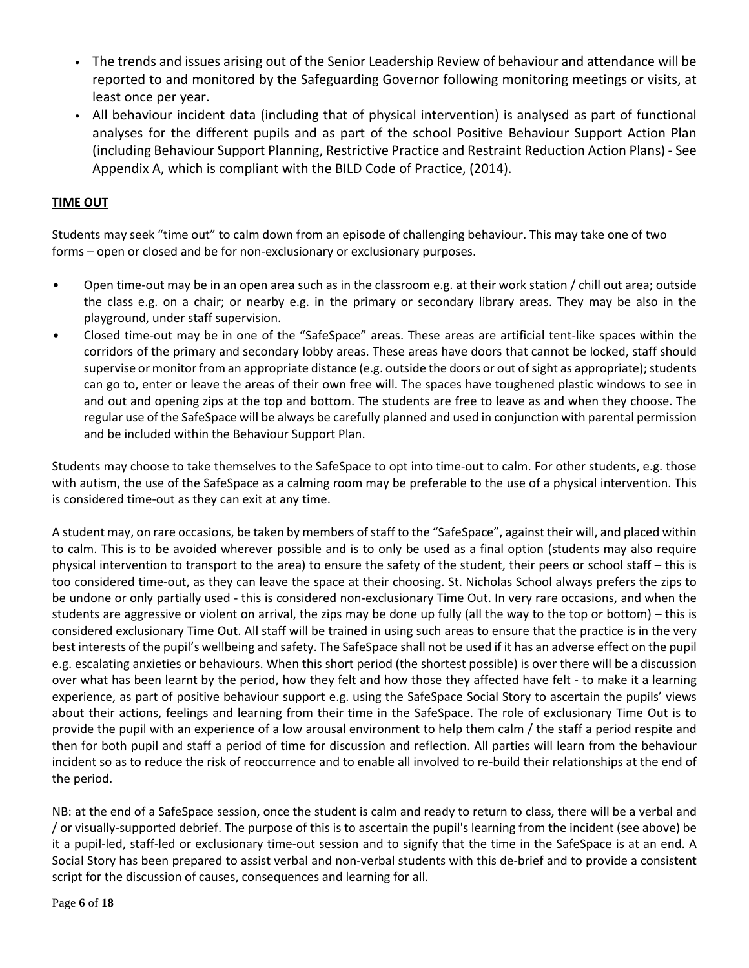- The trends and issues arising out of the Senior Leadership Review of behaviour and attendance will be reported to and monitored by the Safeguarding Governor following monitoring meetings or visits, at least once per year.
- All behaviour incident data (including that of physical intervention) is analysed as part of functional analyses for the different pupils and as part of the school Positive Behaviour Support Action Plan (including Behaviour Support Planning, Restrictive Practice and Restraint Reduction Action Plans) - See Appendix A, which is compliant with the BILD Code of Practice, (2014).

# **TIME OUT**

Students may seek "time out" to calm down from an episode of challenging behaviour. This may take one of two forms – open or closed and be for non-exclusionary or exclusionary purposes.

- Open time-out may be in an open area such as in the classroom e.g. at their work station / chill out area; outside the class e.g. on a chair; or nearby e.g. in the primary or secondary library areas. They may be also in the playground, under staff supervision.
- Closed time-out may be in one of the "SafeSpace" areas. These areas are artificial tent-like spaces within the corridors of the primary and secondary lobby areas. These areas have doors that cannot be locked, staff should supervise or monitor from an appropriate distance (e.g. outside the doors or out of sight as appropriate); students can go to, enter or leave the areas of their own free will. The spaces have toughened plastic windows to see in and out and opening zips at the top and bottom. The students are free to leave as and when they choose. The regular use of the SafeSpace will be always be carefully planned and used in conjunction with parental permission and be included within the Behaviour Support Plan.

Students may choose to take themselves to the SafeSpace to opt into time-out to calm. For other students, e.g. those with autism, the use of the SafeSpace as a calming room may be preferable to the use of a physical intervention. This is considered time-out as they can exit at any time.

A student may, on rare occasions, be taken by members of staff to the "SafeSpace", against their will, and placed within to calm. This is to be avoided wherever possible and is to only be used as a final option (students may also require physical intervention to transport to the area) to ensure the safety of the student, their peers or school staff – this is too considered time-out, as they can leave the space at their choosing. St. Nicholas School always prefers the zips to be undone or only partially used - this is considered non-exclusionary Time Out. In very rare occasions, and when the students are aggressive or violent on arrival, the zips may be done up fully (all the way to the top or bottom) – this is considered exclusionary Time Out. All staff will be trained in using such areas to ensure that the practice is in the very best interests of the pupil's wellbeing and safety. The SafeSpace shall not be used if it has an adverse effect on the pupil e.g. escalating anxieties or behaviours. When this short period (the shortest possible) is over there will be a discussion over what has been learnt by the period, how they felt and how those they affected have felt - to make it a learning experience, as part of positive behaviour support e.g. using the SafeSpace Social Story to ascertain the pupils' views about their actions, feelings and learning from their time in the SafeSpace. The role of exclusionary Time Out is to provide the pupil with an experience of a low arousal environment to help them calm / the staff a period respite and then for both pupil and staff a period of time for discussion and reflection. All parties will learn from the behaviour incident so as to reduce the risk of reoccurrence and to enable all involved to re-build their relationships at the end of the period.

NB: at the end of a SafeSpace session, once the student is calm and ready to return to class, there will be a verbal and / or visually-supported debrief. The purpose of this is to ascertain the pupil's learning from the incident (see above) be it a pupil-led, staff-led or exclusionary time-out session and to signify that the time in the SafeSpace is at an end. A Social Story has been prepared to assist verbal and non-verbal students with this de-brief and to provide a consistent script for the discussion of causes, consequences and learning for all.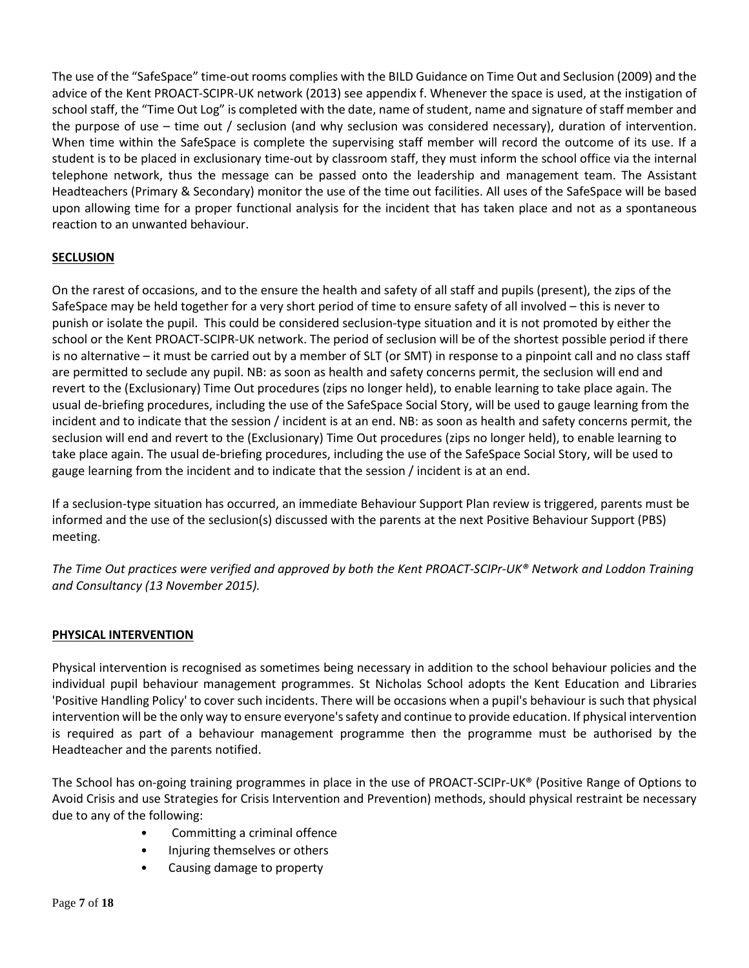The use of the "SafeSpace" time-out rooms complies with the BILD Guidance on Time Out and Seclusion (2009) and the advice of the Kent PROACT-SCIPR-UK network (2013) see appendix f. Whenever the space is used, at the instigation of school staff, the "Time Out Log" is completed with the date, name of student, name and signature of staff member and the purpose of use – time out / seclusion (and why seclusion was considered necessary), duration of intervention. When time within the SafeSpace is complete the supervising staff member will record the outcome of its use. If a student is to be placed in exclusionary time-out by classroom staff, they must inform the school office via the internal telephone network, thus the message can be passed onto the leadership and management team. The Assistant Headteachers (Primary & Secondary) monitor the use of the time out facilities. All uses of the SafeSpace will be based upon allowing time for a proper functional analysis for the incident that has taken place and not as a spontaneous reaction to an unwanted behaviour.

# **SECLUSION**

On the rarest of occasions, and to the ensure the health and safety of all staff and pupils (present), the zips of the SafeSpace may be held together for a very short period of time to ensure safety of all involved – this is never to punish or isolate the pupil. This could be considered seclusion-type situation and it is not promoted by either the school or the Kent PROACT-SCIPR-UK network. The period of seclusion will be of the shortest possible period if there is no alternative – it must be carried out by a member of SLT (or SMT) in response to a pinpoint call and no class staff are permitted to seclude any pupil. NB: as soon as health and safety concerns permit, the seclusion will end and revert to the (Exclusionary) Time Out procedures (zips no longer held), to enable learning to take place again. The usual de-briefing procedures, including the use of the SafeSpace Social Story, will be used to gauge learning from the incident and to indicate that the session / incident is at an end. NB: as soon as health and safety concerns permit, the seclusion will end and revert to the (Exclusionary) Time Out procedures (zips no longer held), to enable learning to take place again. The usual de-briefing procedures, including the use of the SafeSpace Social Story, will be used to gauge learning from the incident and to indicate that the session / incident is at an end.

If a seclusion-type situation has occurred, an immediate Behaviour Support Plan review is triggered, parents must be informed and the use of the seclusion(s) discussed with the parents at the next Positive Behaviour Support (PBS) meeting.

The Time Out practices were verified and approved by both the Kent PROACT-SCIPr-UK® Network and Loddon Training *and Consultancy (13 November 2015).*

## **PHYSICAL INTERVENTION**

Physical intervention is recognised as sometimes being necessary in addition to the school behaviour policies and the individual pupil behaviour management programmes. St Nicholas School adopts the Kent Education and Libraries 'Positive Handling Policy' to cover such incidents. There will be occasions when a pupil's behaviour is such that physical intervention will be the only way to ensure everyone'ssafety and continue to provide education. If physical intervention is required as part of a behaviour management programme then the programme must be authorised by the Headteacher and the parents notified.

The School has on-going training programmes in place in the use of PROACT-SCIPr-UK® (Positive Range of Options to Avoid Crisis and use Strategies for Crisis Intervention and Prevention) methods, should physical restraint be necessary due to any of the following:

- Committing a criminal offence
- Injuring themselves or others
- Causing damage to property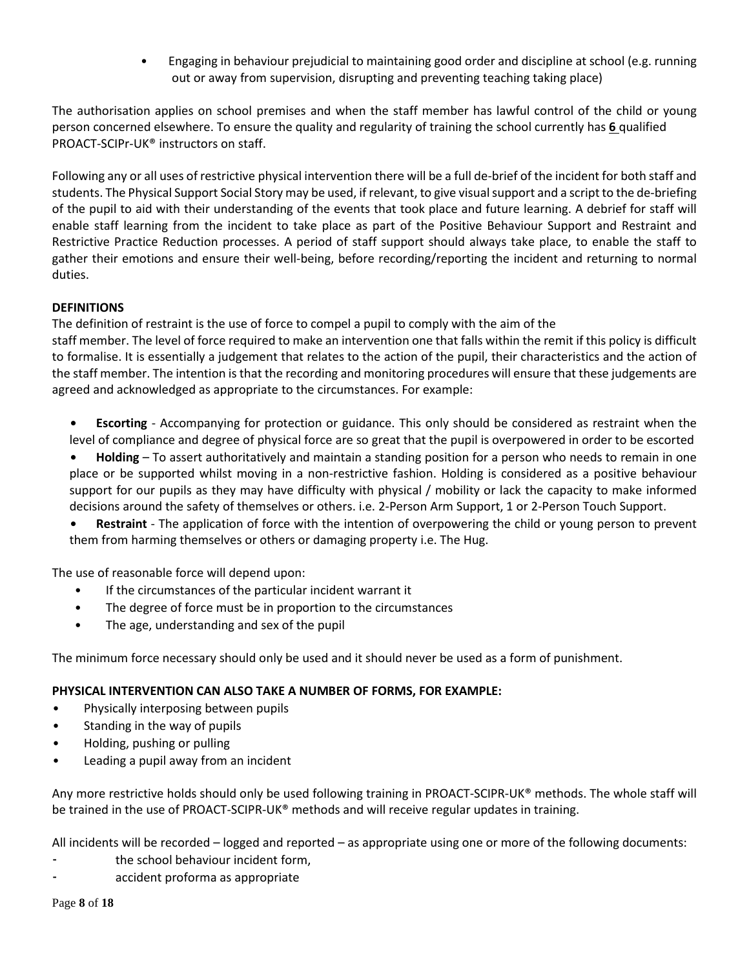• Engaging in behaviour prejudicial to maintaining good order and discipline at school (e.g. running out or away from supervision, disrupting and preventing teaching taking place)

The authorisation applies on school premises and when the staff member has lawful control of the child or young person concerned elsewhere. To ensure the quality and regularity of training the school currently has **6** qualified PROACT-SCIPr-UK® instructors on staff.

Following any or all uses of restrictive physical intervention there will be a full de-brief of the incident for both staff and students. The Physical Support Social Story may be used, if relevant, to give visualsupport and a script to the de-briefing of the pupil to aid with their understanding of the events that took place and future learning. A debrief for staff will enable staff learning from the incident to take place as part of the Positive Behaviour Support and Restraint and Restrictive Practice Reduction processes. A period of staff support should always take place, to enable the staff to gather their emotions and ensure their well-being, before recording/reporting the incident and returning to normal duties.

# **DEFINITIONS**

The definition of restraint is the use of force to compel a pupil to comply with the aim of the

staff member. The level of force required to make an intervention one that falls within the remit if this policy is difficult to formalise. It is essentially a judgement that relates to the action of the pupil, their characteristics and the action of the staff member. The intention is that the recording and monitoring procedures will ensure that these judgements are agreed and acknowledged as appropriate to the circumstances. For example:

- **• Escorting** Accompanying for protection or guidance. This only should be considered as restraint when the level of compliance and degree of physical force are so great that the pupil is overpowered in order to be escorted
- **• Holding** To assert authoritatively and maintain a standing position for a person who needs to remain in one place or be supported whilst moving in a non-restrictive fashion. Holding is considered as a positive behaviour support for our pupils as they may have difficulty with physical / mobility or lack the capacity to make informed decisions around the safety of themselves or others. i.e. 2-Person Arm Support, 1 or 2-Person Touch Support.
- **• Restraint** The application of force with the intention of overpowering the child or young person to prevent them from harming themselves or others or damaging property i.e. The Hug.

The use of reasonable force will depend upon:

- If the circumstances of the particular incident warrant it
- The degree of force must be in proportion to the circumstances
- The age, understanding and sex of the pupil

The minimum force necessary should only be used and it should never be used as a form of punishment.

## **PHYSICAL INTERVENTION CAN ALSO TAKE A NUMBER OF FORMS, FOR EXAMPLE:**

- Physically interposing between pupils
- Standing in the way of pupils
- Holding, pushing or pulling
- Leading a pupil away from an incident

Any more restrictive holds should only be used following training in PROACT-SCIPR-UK® methods. The whole staff will be trained in the use of PROACT-SCIPR-UK<sup>®</sup> methods and will receive regular updates in training.

All incidents will be recorded – logged and reported – as appropriate using one or more of the following documents:

- the school behaviour incident form,
- accident proforma as appropriate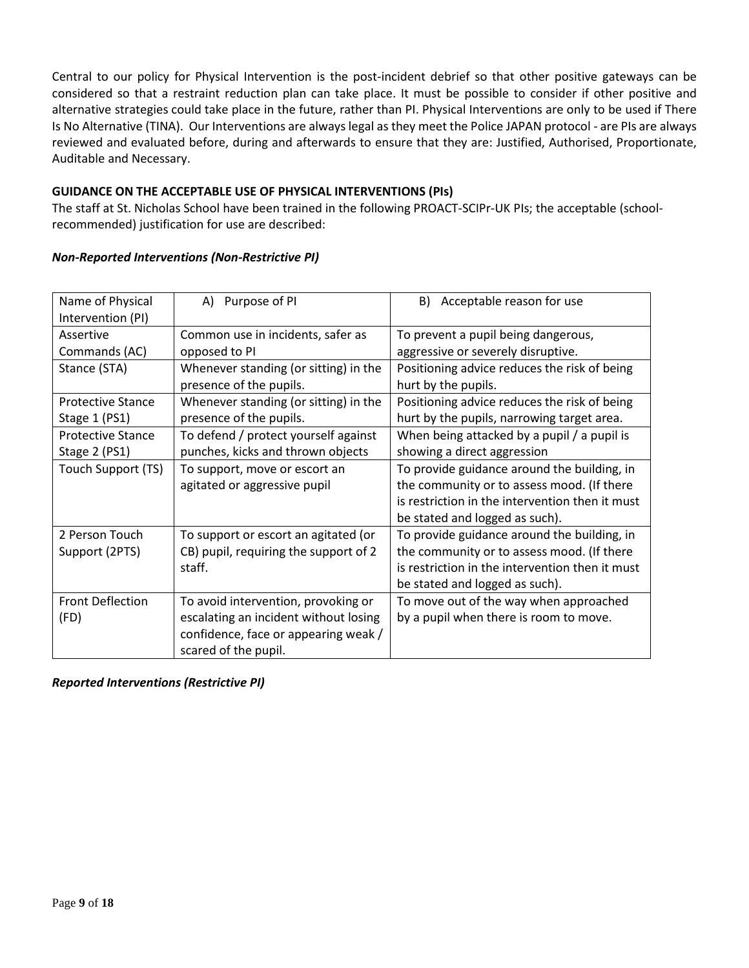Central to our policy for Physical Intervention is the post-incident debrief so that other positive gateways can be considered so that a restraint reduction plan can take place. It must be possible to consider if other positive and alternative strategies could take place in the future, rather than PI. Physical Interventions are only to be used if There Is No Alternative (TINA). Our Interventions are always legal as they meet the Police JAPAN protocol - are PIs are always reviewed and evaluated before, during and afterwards to ensure that they are: Justified, Authorised, Proportionate, Auditable and Necessary.

## **GUIDANCE ON THE ACCEPTABLE USE OF PHYSICAL INTERVENTIONS (PIs)**

The staff at St. Nicholas School have been trained in the following PROACT-SCIPr-UK PIs; the acceptable (schoolrecommended) justification for use are described:

| <b>Non-Reported Interventions (Non-Restrictive PI)</b> |  |
|--------------------------------------------------------|--|
|                                                        |  |

| Name of Physical               | A) Purpose of PI                      | B) Acceptable reason for use                    |
|--------------------------------|---------------------------------------|-------------------------------------------------|
| Intervention (PI)              |                                       |                                                 |
| Assertive                      | Common use in incidents, safer as     | To prevent a pupil being dangerous,             |
| opposed to PI<br>Commands (AC) |                                       | aggressive or severely disruptive.              |
| Stance (STA)                   | Whenever standing (or sitting) in the | Positioning advice reduces the risk of being    |
|                                | presence of the pupils.               | hurt by the pupils.                             |
| <b>Protective Stance</b>       | Whenever standing (or sitting) in the | Positioning advice reduces the risk of being    |
| Stage 1 (PS1)                  | presence of the pupils.               | hurt by the pupils, narrowing target area.      |
| <b>Protective Stance</b>       | To defend / protect yourself against  | When being attacked by a pupil / a pupil is     |
| Stage 2 (PS1)                  | punches, kicks and thrown objects     | showing a direct aggression                     |
| Touch Support (TS)             | To support, move or escort an         | To provide guidance around the building, in     |
|                                | agitated or aggressive pupil          | the community or to assess mood. (If there      |
|                                |                                       | is restriction in the intervention then it must |
|                                |                                       | be stated and logged as such).                  |
| 2 Person Touch                 | To support or escort an agitated (or  | To provide guidance around the building, in     |
| Support (2PTS)                 | CB) pupil, requiring the support of 2 | the community or to assess mood. (If there      |
|                                | staff.                                | is restriction in the intervention then it must |
|                                |                                       | be stated and logged as such).                  |
| <b>Front Deflection</b>        | To avoid intervention, provoking or   | To move out of the way when approached          |
| (FD)                           | escalating an incident without losing | by a pupil when there is room to move.          |
|                                | confidence, face or appearing weak /  |                                                 |
|                                | scared of the pupil.                  |                                                 |

*Reported Interventions (Restrictive PI)*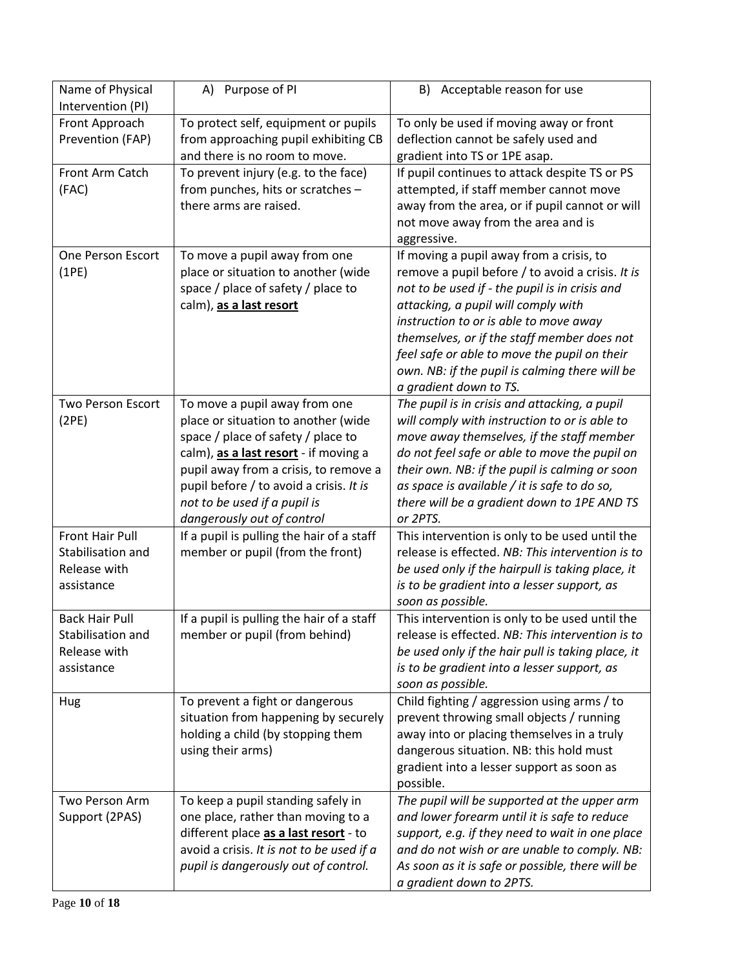| Name of Physical         | A) Purpose of PI                                                          | Acceptable reason for use<br>B)                                                                |
|--------------------------|---------------------------------------------------------------------------|------------------------------------------------------------------------------------------------|
| Intervention (PI)        |                                                                           |                                                                                                |
| Front Approach           | To protect self, equipment or pupils                                      | To only be used if moving away or front                                                        |
| Prevention (FAP)         | from approaching pupil exhibiting CB                                      | deflection cannot be safely used and                                                           |
|                          | and there is no room to move.                                             | gradient into TS or 1PE asap.                                                                  |
| Front Arm Catch          | To prevent injury (e.g. to the face)                                      | If pupil continues to attack despite TS or PS                                                  |
| (FAC)                    | from punches, hits or scratches -                                         | attempted, if staff member cannot move                                                         |
|                          | there arms are raised.                                                    | away from the area, or if pupil cannot or will                                                 |
|                          |                                                                           | not move away from the area and is                                                             |
|                          |                                                                           | aggressive.                                                                                    |
| <b>One Person Escort</b> | To move a pupil away from one                                             | If moving a pupil away from a crisis, to                                                       |
| (1PE)                    | place or situation to another (wide                                       | remove a pupil before / to avoid a crisis. It is                                               |
|                          | space / place of safety / place to                                        | not to be used if - the pupil is in crisis and                                                 |
|                          | calm), as a last resort                                                   | attacking, a pupil will comply with                                                            |
|                          |                                                                           | instruction to or is able to move away                                                         |
|                          |                                                                           | themselves, or if the staff member does not                                                    |
|                          |                                                                           | feel safe or able to move the pupil on their<br>own. NB: if the pupil is calming there will be |
|                          |                                                                           | a gradient down to TS.                                                                         |
| <b>Two Person Escort</b> | To move a pupil away from one                                             | The pupil is in crisis and attacking, a pupil                                                  |
| (2PE)                    | place or situation to another (wide                                       | will comply with instruction to or is able to                                                  |
|                          | space / place of safety / place to                                        | move away themselves, if the staff member                                                      |
|                          | calm), as a last resort - if moving a                                     | do not feel safe or able to move the pupil on                                                  |
|                          | pupil away from a crisis, to remove a                                     | their own. NB: if the pupil is calming or soon                                                 |
|                          | pupil before / to avoid a crisis. It is                                   | as space is available / it is safe to do so,                                                   |
|                          | not to be used if a pupil is                                              | there will be a gradient down to 1PE AND TS                                                    |
|                          | dangerously out of control                                                | or 2PTS.                                                                                       |
| Front Hair Pull          | If a pupil is pulling the hair of a staff                                 | This intervention is only to be used until the                                                 |
| Stabilisation and        | member or pupil (from the front)                                          | release is effected. NB: This intervention is to                                               |
| Release with             |                                                                           | be used only if the hairpull is taking place, it                                               |
| assistance               |                                                                           | is to be gradient into a lesser support, as                                                    |
|                          |                                                                           | soon as possible.                                                                              |
| <b>Back Hair Pull</b>    | If a pupil is pulling the hair of a staff                                 | This intervention is only to be used until the                                                 |
| Stabilisation and        | member or pupil (from behind)                                             | release is effected. NB: This intervention is to                                               |
| Release with             |                                                                           | be used only if the hair pull is taking place, it                                              |
| assistance               |                                                                           | is to be gradient into a lesser support, as                                                    |
|                          |                                                                           | soon as possible.                                                                              |
| Hug                      | To prevent a fight or dangerous                                           | Child fighting / aggression using arms / to                                                    |
|                          | situation from happening by securely<br>holding a child (by stopping them | prevent throwing small objects / running<br>away into or placing themselves in a truly         |
|                          | using their arms)                                                         | dangerous situation. NB: this hold must                                                        |
|                          |                                                                           | gradient into a lesser support as soon as                                                      |
|                          |                                                                           | possible.                                                                                      |
| Two Person Arm           | To keep a pupil standing safely in                                        | The pupil will be supported at the upper arm                                                   |
| Support (2PAS)           | one place, rather than moving to a                                        | and lower forearm until it is safe to reduce                                                   |
|                          | different place as a last resort - to                                     | support, e.g. if they need to wait in one place                                                |
|                          | avoid a crisis. It is not to be used if a                                 | and do not wish or are unable to comply. NB:                                                   |
|                          | pupil is dangerously out of control.                                      | As soon as it is safe or possible, there will be                                               |
|                          |                                                                           | a gradient down to 2PTS.                                                                       |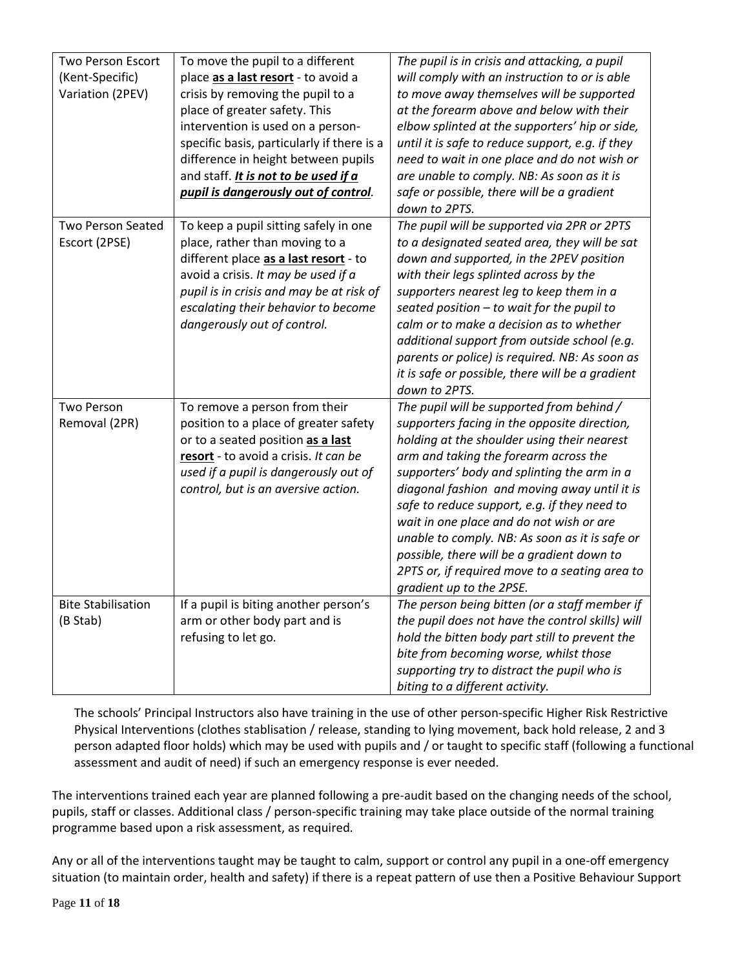| <b>Two Person Escort</b><br>(Kent-Specific)<br>Variation (2PEV) | To move the pupil to a different<br>place as a last resort - to avoid a<br>crisis by removing the pupil to a<br>place of greater safety. This<br>intervention is used on a person-<br>specific basis, particularly if there is a<br>difference in height between pupils<br>and staff. It is not to be used if a<br>pupil is dangerously out of control. | The pupil is in crisis and attacking, a pupil<br>will comply with an instruction to or is able<br>to move away themselves will be supported<br>at the forearm above and below with their<br>elbow splinted at the supporters' hip or side,<br>until it is safe to reduce support, e.g. if they<br>need to wait in one place and do not wish or<br>are unable to comply. NB: As soon as it is<br>safe or possible, there will be a gradient<br>down to 2PTS.                                                                                                |
|-----------------------------------------------------------------|---------------------------------------------------------------------------------------------------------------------------------------------------------------------------------------------------------------------------------------------------------------------------------------------------------------------------------------------------------|------------------------------------------------------------------------------------------------------------------------------------------------------------------------------------------------------------------------------------------------------------------------------------------------------------------------------------------------------------------------------------------------------------------------------------------------------------------------------------------------------------------------------------------------------------|
| <b>Two Person Seated</b><br>Escort (2PSE)                       | To keep a pupil sitting safely in one<br>place, rather than moving to a<br>different place as a last resort - to<br>avoid a crisis. It may be used if a<br>pupil is in crisis and may be at risk of<br>escalating their behavior to become<br>dangerously out of control.                                                                               | The pupil will be supported via 2PR or 2PTS<br>to a designated seated area, they will be sat<br>down and supported, in the 2PEV position<br>with their legs splinted across by the<br>supporters nearest leg to keep them in a<br>seated position $-$ to wait for the pupil to<br>calm or to make a decision as to whether<br>additional support from outside school (e.g.<br>parents or police) is required. NB: As soon as<br>it is safe or possible, there will be a gradient<br>down to 2PTS.                                                          |
| <b>Two Person</b><br>Removal (2PR)                              | To remove a person from their<br>position to a place of greater safety<br>or to a seated position as a last<br>resort - to avoid a crisis. It can be<br>used if a pupil is dangerously out of<br>control, but is an aversive action.                                                                                                                    | The pupil will be supported from behind /<br>supporters facing in the opposite direction,<br>holding at the shoulder using their nearest<br>arm and taking the forearm across the<br>supporters' body and splinting the arm in a<br>diagonal fashion and moving away until it is<br>safe to reduce support, e.g. if they need to<br>wait in one place and do not wish or are<br>unable to comply. NB: As soon as it is safe or<br>possible, there will be a gradient down to<br>2PTS or, if required move to a seating area to<br>gradient up to the 2PSE. |
| <b>Bite Stabilisation</b><br>(B Stab)                           | If a pupil is biting another person's<br>arm or other body part and is<br>refusing to let go.                                                                                                                                                                                                                                                           | The person being bitten (or a staff member if<br>the pupil does not have the control skills) will<br>hold the bitten body part still to prevent the<br>bite from becoming worse, whilst those<br>supporting try to distract the pupil who is<br>biting to a different activity.                                                                                                                                                                                                                                                                            |

The schools' Principal Instructors also have training in the use of other person-specific Higher Risk Restrictive Physical Interventions (clothes stablisation / release, standing to lying movement, back hold release, 2 and 3 person adapted floor holds) which may be used with pupils and / or taught to specific staff (following a functional assessment and audit of need) if such an emergency response is ever needed.

The interventions trained each year are planned following a pre-audit based on the changing needs of the school, pupils, staff or classes. Additional class / person-specific training may take place outside of the normal training programme based upon a risk assessment, as required.

Any or all of the interventions taught may be taught to calm, support or control any pupil in a one-off emergency situation (to maintain order, health and safety) if there is a repeat pattern of use then a Positive Behaviour Support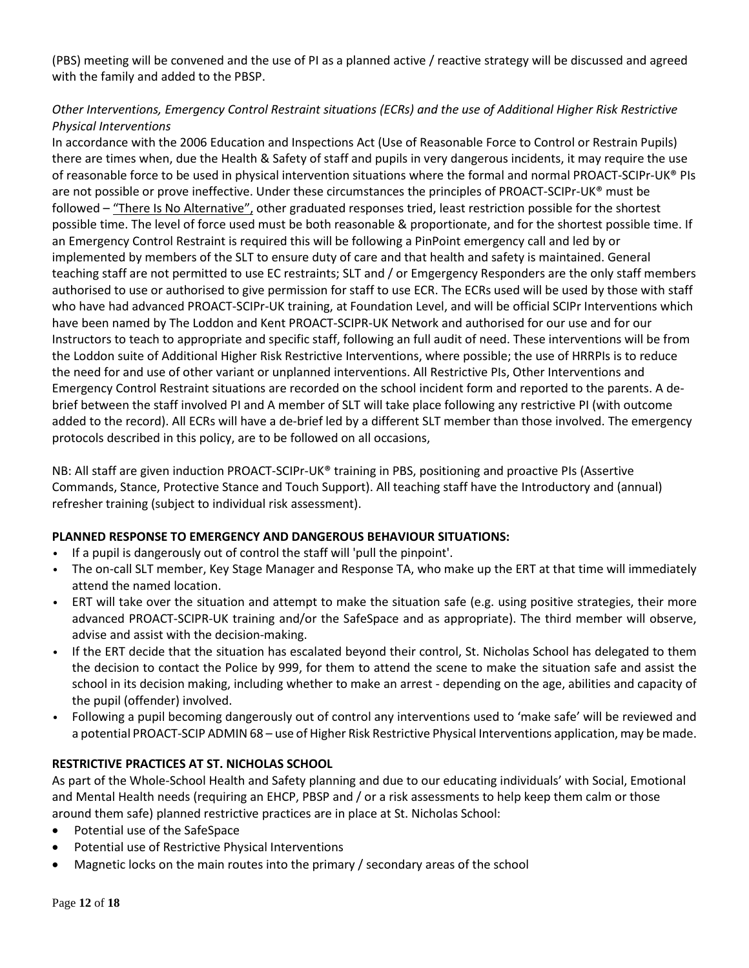(PBS) meeting will be convened and the use of PI as a planned active / reactive strategy will be discussed and agreed with the family and added to the PBSP.

# *Other Interventions, Emergency Control Restraint situations (ECRs) and the use of Additional Higher Risk Restrictive Physical Interventions*

In accordance with the 2006 Education and Inspections Act (Use of Reasonable Force to Control or Restrain Pupils) there are times when, due the Health & Safety of staff and pupils in very dangerous incidents, it may require the use of reasonable force to be used in physical intervention situations where the formal and normal PROACT-SCIPr-UK® PIs are not possible or prove ineffective. Under these circumstances the principles of PROACT-SCIPr-UK® must be followed – "There Is No Alternative", other graduated responses tried, least restriction possible for the shortest possible time. The level of force used must be both reasonable & proportionate, and for the shortest possible time. If an Emergency Control Restraint is required this will be following a PinPoint emergency call and led by or implemented by members of the SLT to ensure duty of care and that health and safety is maintained. General teaching staff are not permitted to use EC restraints; SLT and / or Emgergency Responders are the only staff members authorised to use or authorised to give permission for staff to use ECR. The ECRs used will be used by those with staff who have had advanced PROACT-SCIPr-UK training, at Foundation Level, and will be official SCIPr Interventions which have been named by The Loddon and Kent PROACT-SCIPR-UK Network and authorised for our use and for our Instructors to teach to appropriate and specific staff, following an full audit of need. These interventions will be from the Loddon suite of Additional Higher Risk Restrictive Interventions, where possible; the use of HRRPIs is to reduce the need for and use of other variant or unplanned interventions. All Restrictive PIs, Other Interventions and Emergency Control Restraint situations are recorded on the school incident form and reported to the parents. A debrief between the staff involved PI and A member of SLT will take place following any restrictive PI (with outcome added to the record). All ECRs will have a de-brief led by a different SLT member than those involved. The emergency protocols described in this policy, are to be followed on all occasions,

NB: All staff are given induction PROACT-SCIPr-UK® training in PBS, positioning and proactive PIs (Assertive Commands, Stance, Protective Stance and Touch Support). All teaching staff have the Introductory and (annual) refresher training (subject to individual risk assessment).

# **PLANNED RESPONSE TO EMERGENCY AND DANGEROUS BEHAVIOUR SITUATIONS:**

- If a pupil is dangerously out of control the staff will 'pull the pinpoint'.
- The on-call SLT member, Key Stage Manager and Response TA, who make up the ERT at that time will immediately attend the named location.
- ERT will take over the situation and attempt to make the situation safe (e.g. using positive strategies, their more advanced PROACT-SCIPR-UK training and/or the SafeSpace and as appropriate). The third member will observe, advise and assist with the decision-making.
- If the ERT decide that the situation has escalated beyond their control, St. Nicholas School has delegated to them the decision to contact the Police by 999, for them to attend the scene to make the situation safe and assist the school in its decision making, including whether to make an arrest - depending on the age, abilities and capacity of the pupil (offender) involved.
- Following a pupil becoming dangerously out of control any interventions used to 'make safe' will be reviewed and a potential PROACT-SCIP ADMIN 68 – use of Higher Risk Restrictive Physical Interventions application, may be made.

## **RESTRICTIVE PRACTICES AT ST. NICHOLAS SCHOOL**

As part of the Whole-School Health and Safety planning and due to our educating individuals' with Social, Emotional and Mental Health needs (requiring an EHCP, PBSP and / or a risk assessments to help keep them calm or those around them safe) planned restrictive practices are in place at St. Nicholas School:

- Potential use of the SafeSpace
- Potential use of Restrictive Physical Interventions
- Magnetic locks on the main routes into the primary / secondary areas of the school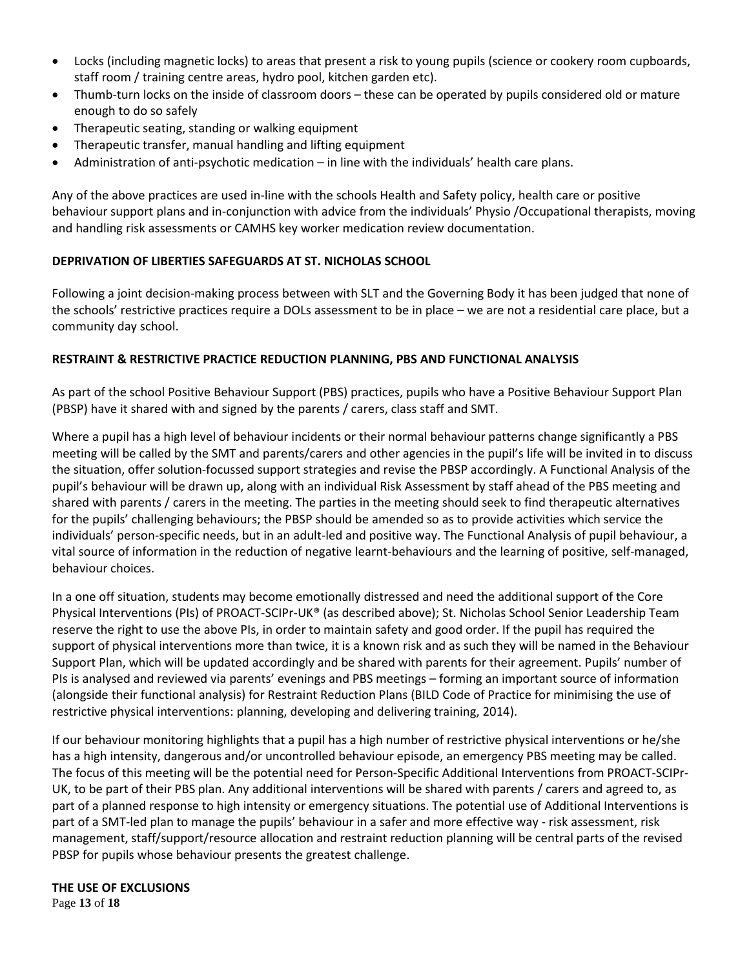- Locks (including magnetic locks) to areas that present a risk to young pupils (science or cookery room cupboards, staff room / training centre areas, hydro pool, kitchen garden etc).
- Thumb-turn locks on the inside of classroom doors these can be operated by pupils considered old or mature enough to do so safely
- Therapeutic seating, standing or walking equipment
- Therapeutic transfer, manual handling and lifting equipment
- Administration of anti-psychotic medication in line with the individuals' health care plans.

Any of the above practices are used in-line with the schools Health and Safety policy, health care or positive behaviour support plans and in-conjunction with advice from the individuals' Physio /Occupational therapists, moving and handling risk assessments or CAMHS key worker medication review documentation.

# **DEPRIVATION OF LIBERTIES SAFEGUARDS AT ST. NICHOLAS SCHOOL**

Following a joint decision-making process between with SLT and the Governing Body it has been judged that none of the schools' restrictive practices require a DOLs assessment to be in place – we are not a residential care place, but a community day school.

# **RESTRAINT & RESTRICTIVE PRACTICE REDUCTION PLANNING, PBS AND FUNCTIONAL ANALYSIS**

As part of the school Positive Behaviour Support (PBS) practices, pupils who have a Positive Behaviour Support Plan (PBSP) have it shared with and signed by the parents / carers, class staff and SMT.

Where a pupil has a high level of behaviour incidents or their normal behaviour patterns change significantly a PBS meeting will be called by the SMT and parents/carers and other agencies in the pupil's life will be invited in to discuss the situation, offer solution-focussed support strategies and revise the PBSP accordingly. A Functional Analysis of the pupil's behaviour will be drawn up, along with an individual Risk Assessment by staff ahead of the PBS meeting and shared with parents / carers in the meeting. The parties in the meeting should seek to find therapeutic alternatives for the pupils' challenging behaviours; the PBSP should be amended so as to provide activities which service the individuals' person-specific needs, but in an adult-led and positive way. The Functional Analysis of pupil behaviour, a vital source of information in the reduction of negative learnt-behaviours and the learning of positive, self-managed, behaviour choices.

In a one off situation, students may become emotionally distressed and need the additional support of the Core Physical Interventions (PIs) of PROACT-SCIPr-UK® (as described above); St. Nicholas School Senior Leadership Team reserve the right to use the above PIs, in order to maintain safety and good order. If the pupil has required the support of physical interventions more than twice, it is a known risk and as such they will be named in the Behaviour Support Plan, which will be updated accordingly and be shared with parents for their agreement. Pupils' number of PIs is analysed and reviewed via parents' evenings and PBS meetings – forming an important source of information (alongside their functional analysis) for Restraint Reduction Plans (BILD Code of Practice for minimising the use of restrictive physical interventions: planning, developing and delivering training, 2014).

If our behaviour monitoring highlights that a pupil has a high number of restrictive physical interventions or he/she has a high intensity, dangerous and/or uncontrolled behaviour episode, an emergency PBS meeting may be called. The focus of this meeting will be the potential need for Person-Specific Additional Interventions from PROACT-SCIPr-UK, to be part of their PBS plan. Any additional interventions will be shared with parents / carers and agreed to, as part of a planned response to high intensity or emergency situations. The potential use of Additional Interventions is part of a SMT-led plan to manage the pupils' behaviour in a safer and more effective way - risk assessment, risk management, staff/support/resource allocation and restraint reduction planning will be central parts of the revised PBSP for pupils whose behaviour presents the greatest challenge.

Page **13** of **18 THE USE OF EXCLUSIONS**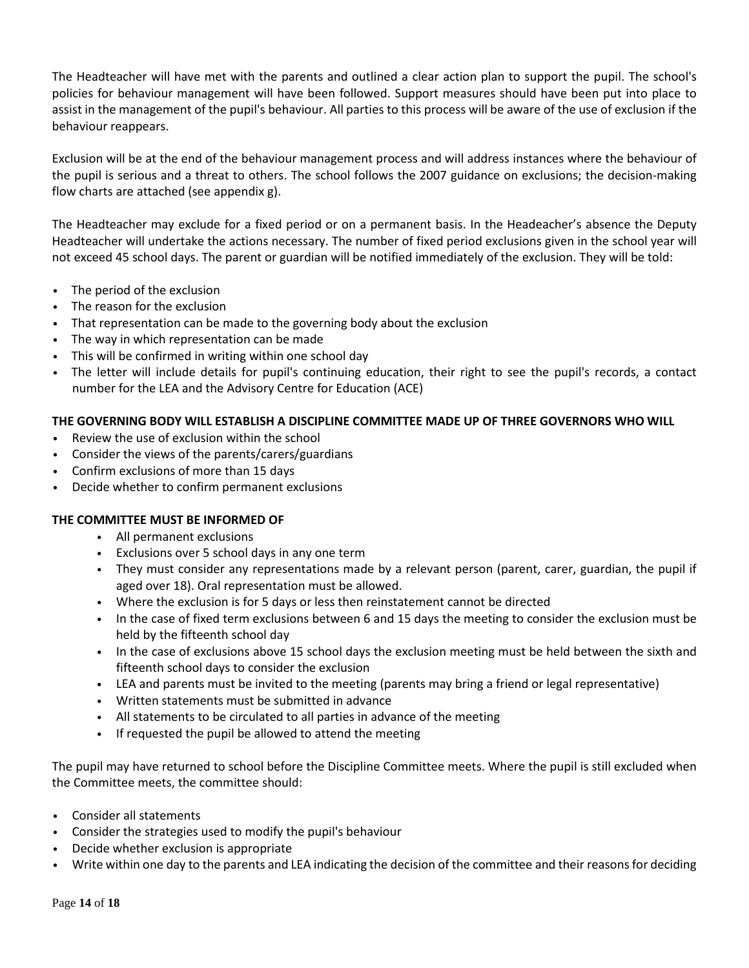The Headteacher will have met with the parents and outlined a clear action plan to support the pupil. The school's policies for behaviour management will have been followed. Support measures should have been put into place to assist in the management of the pupil's behaviour. All parties to this process will be aware of the use of exclusion if the behaviour reappears.

Exclusion will be at the end of the behaviour management process and will address instances where the behaviour of the pupil is serious and a threat to others. The school follows the 2007 guidance on exclusions; the decision-making flow charts are attached (see appendix g).

The Headteacher may exclude for a fixed period or on a permanent basis. In the Headeacher's absence the Deputy Headteacher will undertake the actions necessary. The number of fixed period exclusions given in the school year will not exceed 45 school days. The parent or guardian will be notified immediately of the exclusion. They will be told:

- The period of the exclusion
- The reason for the exclusion
- That representation can be made to the governing body about the exclusion
- The way in which representation can be made
- This will be confirmed in writing within one school day
- The letter will include details for pupil's continuing education, their right to see the pupil's records, a contact number for the LEA and the Advisory Centre for Education (ACE)

### **THE GOVERNING BODY WILL ESTABLISH A DISCIPLINE COMMITTEE MADE UP OF THREE GOVERNORS WHO WILL**

- Review the use of exclusion within the school
- Consider the views of the parents/carers/guardians
- Confirm exclusions of more than 15 days
- Decide whether to confirm permanent exclusions

## **THE COMMITTEE MUST BE INFORMED OF**

- All permanent exclusions
- Exclusions over 5 school days in any one term
- They must consider any representations made by a relevant person (parent, carer, guardian, the pupil if aged over 18). Oral representation must be allowed.
- Where the exclusion is for 5 days or less then reinstatement cannot be directed
- In the case of fixed term exclusions between 6 and 15 days the meeting to consider the exclusion must be held by the fifteenth school day
- In the case of exclusions above 15 school days the exclusion meeting must be held between the sixth and fifteenth school days to consider the exclusion
- LEA and parents must be invited to the meeting (parents may bring a friend or legal representative)
- Written statements must be submitted in advance
- All statements to be circulated to all parties in advance of the meeting
- If requested the pupil be allowed to attend the meeting

The pupil may have returned to school before the Discipline Committee meets. Where the pupil is still excluded when the Committee meets, the committee should:

- Consider all statements
- Consider the strategies used to modify the pupil's behaviour
- Decide whether exclusion is appropriate
- Write within one day to the parents and LEA indicating the decision of the committee and their reasons for deciding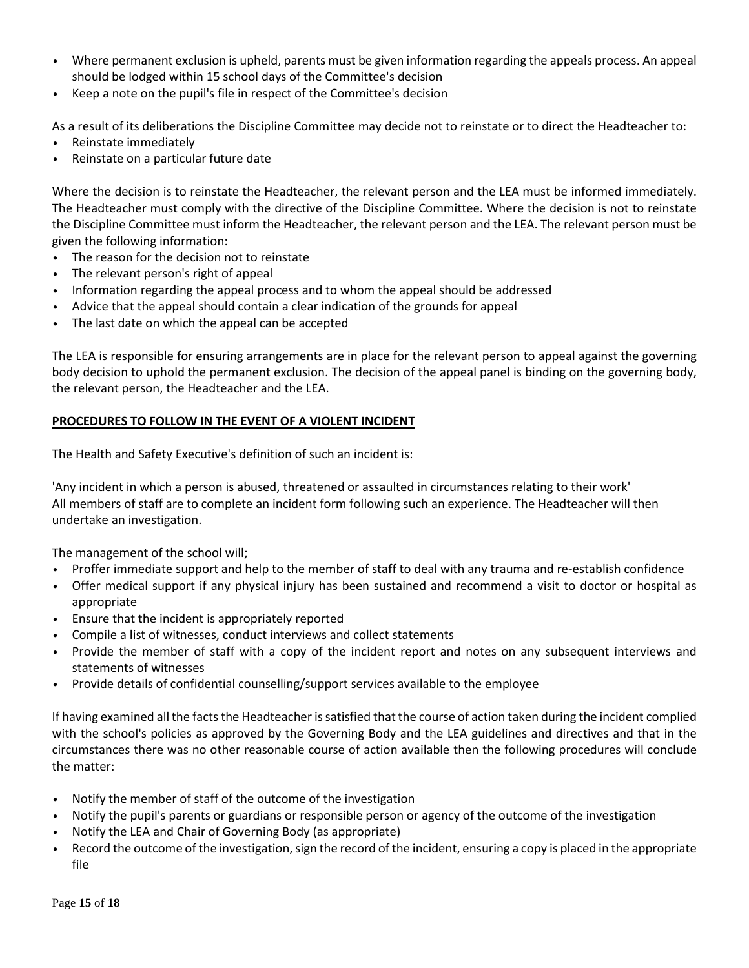- Where permanent exclusion is upheld, parents must be given information regarding the appeals process. An appeal should be lodged within 15 school days of the Committee's decision
- Keep a note on the pupil's file in respect of the Committee's decision

As a result of its deliberations the Discipline Committee may decide not to reinstate or to direct the Headteacher to:

- Reinstate immediately
- Reinstate on a particular future date

Where the decision is to reinstate the Headteacher, the relevant person and the LEA must be informed immediately. The Headteacher must comply with the directive of the Discipline Committee. Where the decision is not to reinstate the Discipline Committee must inform the Headteacher, the relevant person and the LEA. The relevant person must be given the following information:

- The reason for the decision not to reinstate
- The relevant person's right of appeal
- Information regarding the appeal process and to whom the appeal should be addressed
- Advice that the appeal should contain a clear indication of the grounds for appeal
- The last date on which the appeal can be accepted

The LEA is responsible for ensuring arrangements are in place for the relevant person to appeal against the governing body decision to uphold the permanent exclusion. The decision of the appeal panel is binding on the governing body, the relevant person, the Headteacher and the LEA.

## **PROCEDURES TO FOLLOW IN THE EVENT OF A VIOLENT INCIDENT**

The Health and Safety Executive's definition of such an incident is:

'Any incident in which a person is abused, threatened or assaulted in circumstances relating to their work' All members of staff are to complete an incident form following such an experience. The Headteacher will then undertake an investigation.

The management of the school will;

- Proffer immediate support and help to the member of staff to deal with any trauma and re-establish confidence
- Offer medical support if any physical injury has been sustained and recommend a visit to doctor or hospital as appropriate
- Ensure that the incident is appropriately reported
- Compile a list of witnesses, conduct interviews and collect statements
- Provide the member of staff with a copy of the incident report and notes on any subsequent interviews and statements of witnesses
- Provide details of confidential counselling/support services available to the employee

If having examined all the facts the Headteacher is satisfied that the course of action taken during the incident complied with the school's policies as approved by the Governing Body and the LEA guidelines and directives and that in the circumstances there was no other reasonable course of action available then the following procedures will conclude the matter:

- Notify the member of staff of the outcome of the investigation
- Notify the pupil's parents or guardians or responsible person or agency of the outcome of the investigation
- Notify the LEA and Chair of Governing Body (as appropriate)
- Record the outcome of the investigation, sign the record of the incident, ensuring a copy is placed in the appropriate file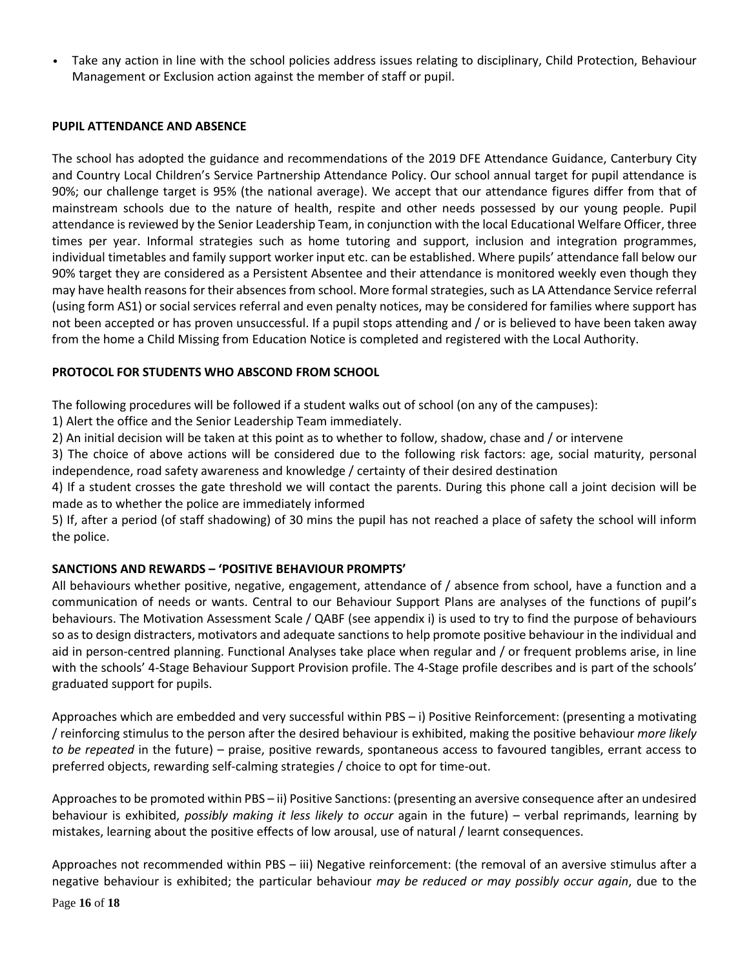• Take any action in line with the school policies address issues relating to disciplinary, Child Protection, Behaviour Management or Exclusion action against the member of staff or pupil.

### **PUPIL ATTENDANCE AND ABSENCE**

The school has adopted the guidance and recommendations of the 2019 DFE Attendance Guidance, Canterbury City and Country Local Children's Service Partnership Attendance Policy. Our school annual target for pupil attendance is 90%; our challenge target is 95% (the national average). We accept that our attendance figures differ from that of mainstream schools due to the nature of health, respite and other needs possessed by our young people. Pupil attendance is reviewed by the Senior Leadership Team, in conjunction with the local Educational Welfare Officer, three times per year. Informal strategies such as home tutoring and support, inclusion and integration programmes, individual timetables and family support worker input etc. can be established. Where pupils' attendance fall below our 90% target they are considered as a Persistent Absentee and their attendance is monitored weekly even though they may have health reasons for their absences from school. More formal strategies, such as LA Attendance Service referral (using form AS1) or social services referral and even penalty notices, may be considered for families where support has not been accepted or has proven unsuccessful. If a pupil stops attending and / or is believed to have been taken away from the home a Child Missing from Education Notice is completed and registered with the Local Authority.

# **PROTOCOL FOR STUDENTS WHO ABSCOND FROM SCHOOL**

The following procedures will be followed if a student walks out of school (on any of the campuses):

1) Alert the office and the Senior Leadership Team immediately.

2) An initial decision will be taken at this point as to whether to follow, shadow, chase and / or intervene

3) The choice of above actions will be considered due to the following risk factors: age, social maturity, personal independence, road safety awareness and knowledge / certainty of their desired destination

4) If a student crosses the gate threshold we will contact the parents. During this phone call a joint decision will be made as to whether the police are immediately informed

5) If, after a period (of staff shadowing) of 30 mins the pupil has not reached a place of safety the school will inform the police.

## **SANCTIONS AND REWARDS – 'POSITIVE BEHAVIOUR PROMPTS'**

All behaviours whether positive, negative, engagement, attendance of / absence from school, have a function and a communication of needs or wants. Central to our Behaviour Support Plans are analyses of the functions of pupil's behaviours. The Motivation Assessment Scale / QABF (see appendix i) is used to try to find the purpose of behaviours so as to design distracters, motivators and adequate sanctions to help promote positive behaviour in the individual and aid in person-centred planning. Functional Analyses take place when regular and / or frequent problems arise, in line with the schools' 4-Stage Behaviour Support Provision profile. The 4-Stage profile describes and is part of the schools' graduated support for pupils.

Approaches which are embedded and very successful within PBS – i) Positive Reinforcement: (presenting a motivating / reinforcing stimulus to the person after the desired behaviour is exhibited, making the positive behaviour *more likely to be repeated* in the future) – praise, positive rewards, spontaneous access to favoured tangibles, errant access to preferred objects, rewarding self-calming strategies / choice to opt for time-out.

Approaches to be promoted within PBS – ii) Positive Sanctions: (presenting an aversive consequence after an undesired behaviour is exhibited, *possibly making it less likely to occur* again in the future) – verbal reprimands, learning by mistakes, learning about the positive effects of low arousal, use of natural / learnt consequences.

Approaches not recommended within PBS – iii) Negative reinforcement: (the removal of an aversive stimulus after a negative behaviour is exhibited; the particular behaviour *may be reduced or may possibly occur again*, due to the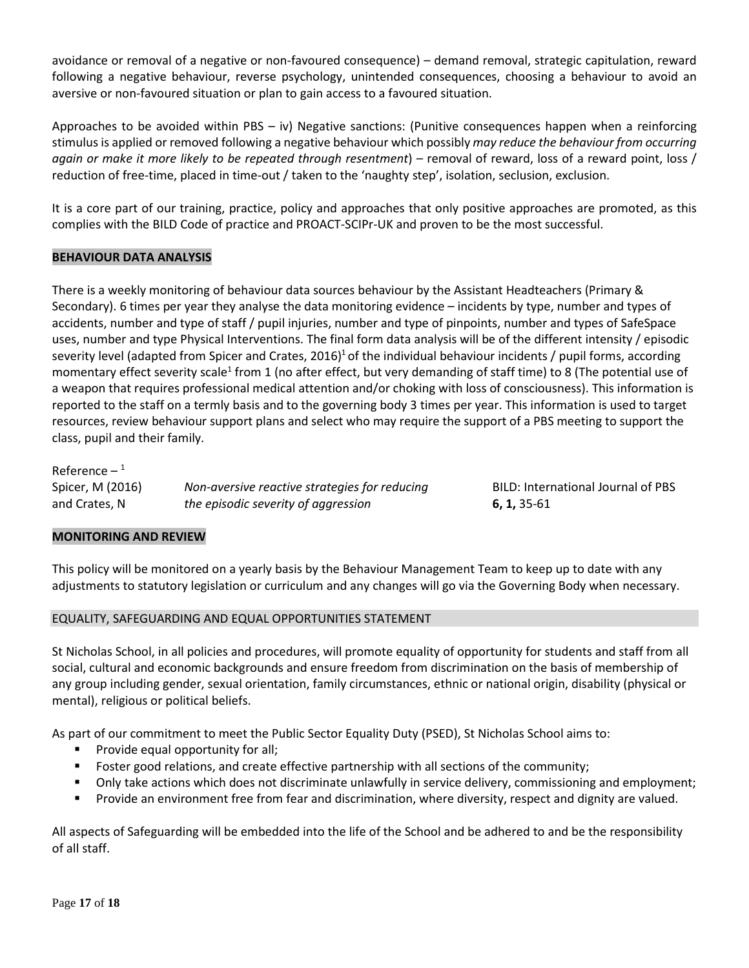avoidance or removal of a negative or non-favoured consequence) – demand removal, strategic capitulation, reward following a negative behaviour, reverse psychology, unintended consequences, choosing a behaviour to avoid an aversive or non-favoured situation or plan to gain access to a favoured situation.

Approaches to be avoided within PBS – iv) Negative sanctions: (Punitive consequences happen when a reinforcing stimulus is applied or removed following a negative behaviour which possibly *may reduce the behaviour from occurring again or make it more likely to be repeated through resentment*) – removal of reward, loss of a reward point, loss / reduction of free-time, placed in time-out / taken to the 'naughty step', isolation, seclusion, exclusion.

It is a core part of our training, practice, policy and approaches that only positive approaches are promoted, as this complies with the BILD Code of practice and PROACT-SCIPr-UK and proven to be the most successful.

## **BEHAVIOUR DATA ANALYSIS**

There is a weekly monitoring of behaviour data sources behaviour by the Assistant Headteachers (Primary & Secondary). 6 times per year they analyse the data monitoring evidence – incidents by type, number and types of accidents, number and type of staff / pupil injuries, number and type of pinpoints, number and types of SafeSpace uses, number and type Physical Interventions. The final form data analysis will be of the different intensity / episodic severity level (adapted from Spicer and Crates, 2016)<sup>1</sup> of the individual behaviour incidents / pupil forms, according momentary effect severity scale<sup>1</sup> from 1 (no after effect, but very demanding of staff time) to 8 (The potential use of a weapon that requires professional medical attention and/or choking with loss of consciousness). This information is reported to the staff on a termly basis and to the governing body 3 times per year. This information is used to target resources, review behaviour support plans and select who may require the support of a PBS meeting to support the class, pupil and their family.

| Reference $-1$   |                                               |
|------------------|-----------------------------------------------|
| Spicer, M (2016) | Non-aversive reactive strategies for reducing |
| and Crates, N    | the episodic severity of aggression           |

Spicer, M (2016) *Non-aversive reactive strategies for reducing* BILD: International Journal of PBS and Crates, N *the episodic severity of aggression* **6, 1,** 35-61

### **MONITORING AND REVIEW**

This policy will be monitored on a yearly basis by the Behaviour Management Team to keep up to date with any adjustments to statutory legislation or curriculum and any changes will go via the Governing Body when necessary.

### EQUALITY, SAFEGUARDING AND EQUAL OPPORTUNITIES STATEMENT

St Nicholas School, in all policies and procedures, will promote equality of opportunity for students and staff from all social, cultural and economic backgrounds and ensure freedom from discrimination on the basis of membership of any group including gender, sexual orientation, family circumstances, ethnic or national origin, disability (physical or mental), religious or political beliefs.

As part of our commitment to meet the Public Sector Equality Duty (PSED), St Nicholas School aims to:

- **Provide equal opportunity for all;**
- **Foster good relations, and create effective partnership with all sections of the community;**
- Only take actions which does not discriminate unlawfully in service delivery, commissioning and employment;
- Provide an environment free from fear and discrimination, where diversity, respect and dignity are valued.

All aspects of Safeguarding will be embedded into the life of the School and be adhered to and be the responsibility of all staff.